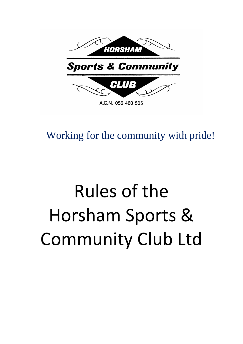

Working for the community with pride!

# Rules of the Horsham Sports & Community Club Ltd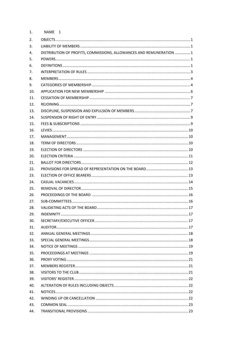| NAME 1                                                               |  |
|----------------------------------------------------------------------|--|
|                                                                      |  |
|                                                                      |  |
| DISTRIBUTION OF PROFITS, COMMISSIONS, ALLOWANCES AND REMUNERATION  1 |  |
|                                                                      |  |
|                                                                      |  |
|                                                                      |  |
|                                                                      |  |
|                                                                      |  |
|                                                                      |  |
|                                                                      |  |
|                                                                      |  |
|                                                                      |  |
|                                                                      |  |
|                                                                      |  |
|                                                                      |  |
|                                                                      |  |
|                                                                      |  |
|                                                                      |  |
|                                                                      |  |
|                                                                      |  |
|                                                                      |  |
|                                                                      |  |
|                                                                      |  |
|                                                                      |  |
|                                                                      |  |
|                                                                      |  |
|                                                                      |  |
|                                                                      |  |
|                                                                      |  |
|                                                                      |  |
|                                                                      |  |
|                                                                      |  |
|                                                                      |  |
|                                                                      |  |
|                                                                      |  |
|                                                                      |  |
|                                                                      |  |
|                                                                      |  |
|                                                                      |  |
|                                                                      |  |
|                                                                      |  |
|                                                                      |  |
|                                                                      |  |
|                                                                      |  |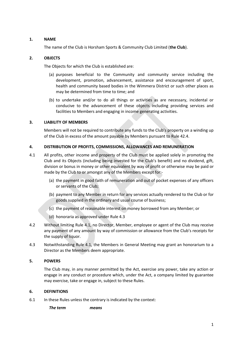## **1. NAME**

<span id="page-2-0"></span>The name of the Club is Horsham Sports & Community Club Limited (**the Club**).

## <span id="page-2-1"></span>**2. OBJECTS**

The Objects for which the Club is established are:

- (a) purposes beneficial to the Community and community service including the development, promotion, advancement, assistance and encouragement of sport, health and community based bodies in the Wimmera District or such other places as may be determined from time to time; and
- (b) to undertake and/or to do all things or activities as are necessary, incidental or conducive to the advancement of these objects including providing services and facilities to Members and engaging in income generating activities.

#### <span id="page-2-2"></span>**3. LIABILITY OF MEMBERS**

Members will not be required to contribute any funds to the Club's property on a winding up of the Club in excess of the amount payable by Members pursuant to Rul[e 42.4.](#page-23-4)

## <span id="page-2-3"></span>**4. DISTRIBUTION OF PROFITS, COMMISSIONS, ALLOWANCES AND REMUNERATION**

- <span id="page-2-7"></span>4.1 All profits, other income and property of the Club must be applied solely in promoting the Club and its Objects (including being invested for the Club's benefit) and no dividend, gift, division or bonus in money or other equivalent by way of profit or otherwise may be paid or made by the Club to or amongst any of the Members except for:-
	- (a) the payment in good faith of remuneration and out of pocket expenses of any officers or servants of the Club;
	- (b) payment to any Member in return for any services actually rendered to the Club or for goods supplied in the ordinary and usual course of business;
	- (c) the payment of reasonable interest on money borrowed from any Member; or
	- (d) honoraria as approved under Rule [4.3](#page-2-6)
- 4.2 Without limiting Rule [4.1,](#page-2-7) no Director, Member, employee or agent of the Club may receive any payment of any amount by way of commission or allowance from the Club's receipts for the supply of liquor.
- <span id="page-2-6"></span>4.3 Notwithstanding Rule [4.1,](#page-2-7) the Members in General Meeting may grant an honorarium to a Director as the Members deem appropriate.

#### <span id="page-2-4"></span>**5. POWERS**

The Club may, in any manner permitted by the Act, exercise any power, take any action or engage in any conduct or procedure which, under the Act, a company limited by guarantee may exercise, take or engage in, subject to these Rules.

#### <span id="page-2-5"></span>**6. DEFINITIONS**

6.1 In these Rules unless the contrary is indicated by the context:

*The term means*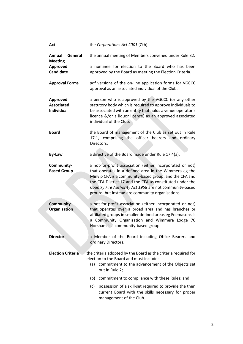| Act                                                       | the Corporations Act 2001 (Cth).                                                                                                                                                                                                                                                                                                                        |
|-----------------------------------------------------------|---------------------------------------------------------------------------------------------------------------------------------------------------------------------------------------------------------------------------------------------------------------------------------------------------------------------------------------------------------|
| <b>Annual</b><br>General<br><b>Meeting</b>                | the annual meeting of Members convened under Rule 32.                                                                                                                                                                                                                                                                                                   |
| <b>Approved</b><br>Candidate                              | a nominee for election to the Board who has been<br>approved by the Board as meeting the Election Criteria.                                                                                                                                                                                                                                             |
| <b>Approval Forms</b>                                     | pdf versions of the on-line application forms for VGCCC<br>approval as an associated individual of the Club.                                                                                                                                                                                                                                            |
| <b>Approved</b><br><b>Associated</b><br><b>Individual</b> | a person who is approved by the VGCCC (or any other<br>statutory body which is required to approve individuals to<br>be associated with an entity that holds a venue operator's<br>licence &/or a liquor licence) as an approved associated<br>individual of the Club.                                                                                  |
| <b>Board</b>                                              | the Board of management of the Club as set out in Rule<br>17.1, comprising the officer bearers and ordinary<br>Directors.                                                                                                                                                                                                                               |
| <b>By-Law</b>                                             | a directive of the Board made under Rule 17.4(a).                                                                                                                                                                                                                                                                                                       |
| Community-<br><b>Based Group</b>                          | a not-for-profit association (either incorporated or not)<br>that operates in a defined area in the Wimmera eg the<br>Minyip CFA is a community-based group, and the CFA and<br>the CFA District 17 and the CFA as constituted under the<br>Country Fire Authority Act 1958 are not community-based<br>groups, but instead are community organisations. |
| <b>Community</b><br><b>Organisation</b>                   | a not-for-profit association (either incorporated or not)<br>that operates over a broad area and has branches or<br>affiliated groups in smaller defined areas eg Feemasons is<br>Community Organisation and Wimmera Lodge 70<br>a<br>Horsham is a community-based group.                                                                               |
| <b>Director</b>                                           | a Member of the Board including Office Bearers and<br>ordinary Directors.                                                                                                                                                                                                                                                                               |
| <b>Election Criteria</b>                                  | the criteria adopted by the Board as the criteria required for<br>election to the Board and must include:<br>(a)<br>commitment to the advancement of the Objects set<br>out in Rule 2;                                                                                                                                                                  |
|                                                           | commitment to compliance with these Rules; and<br>(b)                                                                                                                                                                                                                                                                                                   |
|                                                           | possession of a skill-set required to provide the then<br>(c)<br>current Board with the skills necessary for proper<br>management of the Club.                                                                                                                                                                                                          |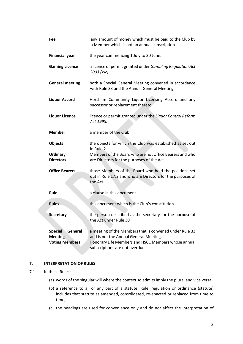| Fee                                                                  | any amount of money which must be paid to the Club by<br>a Member which is not an annual subscription.                                                                                     |
|----------------------------------------------------------------------|--------------------------------------------------------------------------------------------------------------------------------------------------------------------------------------------|
| <b>Financial year</b>                                                | the year commencing 1 July to 30 June.                                                                                                                                                     |
| <b>Gaming Licence</b>                                                | a licence or permit granted under Gambling Regulation Act<br>2003 (Vic).                                                                                                                   |
| <b>General meeting</b>                                               | both a Special General Meeting convened in accordance<br>with Rule 33 and the Annual General Meeting.                                                                                      |
| <b>Liquor Accord</b>                                                 | Horsham Community Liquor Licensing Accord and any<br>successor or replacement thereto.                                                                                                     |
| <b>Liquor Licence</b>                                                | licence or permit granted under the Liquor Control Reform<br>Act 1998.                                                                                                                     |
| <b>Member</b>                                                        | a member of the Club.                                                                                                                                                                      |
| <b>Objects</b>                                                       | the objects for which the Club was established as set out<br>in Rule 2.                                                                                                                    |
| Ordinary<br><b>Directors</b>                                         | Members of the Board who are not Office Bearers and who<br>are Directors for the purposes of the Act.                                                                                      |
| <b>Office Bearers</b>                                                | those Members of the Board who hold the positions set<br>out in Rule 17.2 and who are Directors for the purposes of<br>the Act.                                                            |
| Rule                                                                 | a clause in this document.                                                                                                                                                                 |
| <b>Rules</b>                                                         | this document which is the Club's constitution.                                                                                                                                            |
| <b>Secretary</b>                                                     | the person described as the secretary for the purpose of<br>the Act under Rule 30                                                                                                          |
| <b>Special</b><br>General<br><b>Meeting</b><br><b>Voting Members</b> | a meeting of the Members that is convened under Rule 33<br>and is not the Annual General Meeting.<br>Honorary Life Members and HSCC Members whose annual<br>subscriptions are not overdue. |

# <span id="page-4-0"></span>**7. INTERPRETATION OF RULES**

#### 7.1 In these Rules:

- (a) words of the singular will where the context so admits imply the plural and vice versa;
- (b) a reference to all or any part of a statute, Rule, regulation or ordinance (statute) includes that statute as amended, consolidated, re-enacted or replaced from time to time;
- (c) the headings are used for convenience only and do not affect the interpretation of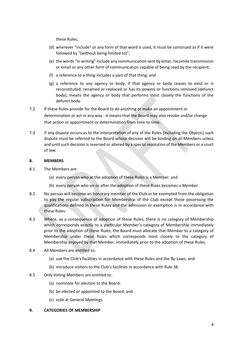these Rules;

- (d) wherever "include" or any form of that word is used, it must be construed as if it were followed by "(without being limited to)";
- (e) the words "in writing" include any communication sent by letter, facsimile transmission or email or any other form of communication capable of being read by the recipient;
- (f) a reference to a thing includes a part of that thing; and
- (g) a reference to any agency or body, if that agency or body ceases to exist or is reconstituted, renamed or replaced or has its powers or functions removed (defunct body), means the agency or body that performs most closely the functions of the defunct body.

# 7.2 If these Rules provide for the Board to do anything or make an appointment or determination or act in any way - it means that the Board may also revoke and/or change that action or appointment or determination from time to time.

7.3 If any dispute occurs as to the interpretation of any of the Rules (including the Objects) such dispute must be referred to the Board whose decision will be binding on all Members unless and until such decision is reversed or altered by a special resolution of the Members or a court of law.

# <span id="page-5-0"></span>**8. MEMBERS**

- 8.1 The Members are:
	- (a) every person who at the adoption of these Rules is a Member; and
	- (b) every person who on or after the adoption of these Rules becomes a Member.
- 8.2 No person will become an honorary member of the Club or be exempted from the obligation to pay the regular subscription for Membership of the Club except those possessing the qualifications defined in these Rules and the admission or exemption is in accordance with these Rules.
- 8.3 Where, as a consequence of adoption of these Rules, there is no category of Membership which corresponds exactly to a particular Member's category of Membership immediately prior to the adoption of these Rules, the Board must allocate that Member to a category of Membership under these Rules which corresponds most closely to the category of Membership enjoyed by that Member, immediately prior to the adoption of these Rules.
- 8.4 All Members are entitled to:
	- (a) use the Club's facilities in accordance with these Rules and the By-Laws; and
	- (b) introduce visitors to the Club's facilities in accordance with Rul[e 38.](#page-22-2)
- 8.5 Only Voting Members are entitled to:
	- (a) nominate for election to the Board;
	- (b) be elected or appointed to the Board; and
	- (c) vote at General Meetings.
- <span id="page-5-1"></span>**9. CATEGORIES OF MEMBERSHIP**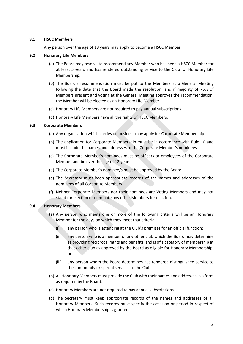#### **9.1 HSCC Members**

Any person over the age of 18 years may apply to become a HSCC Member.

#### **9.2 Honorary Life Members**

- (a) The Board may resolve to recommend any Member who has been a HSCC Member for at least 5 years and has rendered outstanding service to the Club for Honorary Life Membership.
- (b) The Board's recommendation must be put to the Members at a General Meeting following the date that the Board made the resolution, and if majority of 75% of Members present and voting at the General Meeting approves the recommendation, the Member will be elected as an Honorary Life Member.
- (c) Honorary Life Members are not required to pay annual subscriptions.
- (d) Honorary Life Members have all the rights of HSCC Members.

## **9.3 Corporate Members**

- (a) Any organisation which carries on business may apply for Corporate Membership.
- (b) The application for Corporate Membership must be in accordance with Rule [10](#page-7-0) and must include the names and addresses of the Corporate Member's nominees.
- (c) The Corporate Member's nominees must be officers or employees of the Corporate Member and be over the age of 18 years.
- (d) The Corporate Member's nominee/s must be approved by the Board.
- (e) The Secretary must keep appropriate records of the names and addresses of the nominees of all Corporate Members.
- (f) Neither Corporate Members nor their nominees are Voting Members and may not stand for election or nominate any other Members for election.

# **9.4 Honorary Members**

- (a) Any person who meets one or more of the following criteria will be an Honorary Member for the days on which they meet that criteria:
	- (i) any person who is attending at the Club's premises for an official function;
	- (ii) any person who is a member of any other club which the Board may determine as providing reciprocal rights and benefits, and is of a category of membership at that other club as approved by the Board as eligible for Honorary Membership; or
	- (iii) any person whom the Board determines has rendered distinguished service to the community or special services to the Club.
- (b) All Honorary Members must provide the Club with their names and addresses in a form as required by the Board.
- (c) Honorary Members are not required to pay annual subscriptions.
- (d) The Secretary must keep appropriate records of the names and addresses of all Honorary Members. Such records must specify the occasion or period in respect of which Honorary Membership is granted.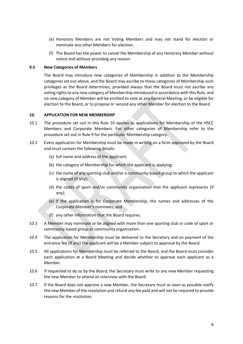- (e) Honorary Members are not Voting Members and may not stand for election or nominate any other Members for election.
- (f) The Board has the power to cancel the Membership of any Honorary Member without notice and without providing any reason.

#### **9.5 New Categories of Members**

The Board may introduce new categories of Membership in addition to the Membership categories set out above, and the Board may ascribe to those categories of Membership such privileges as the Board determines, provided always that the Board must not ascribe any voting rights to any new category of Membership introduced in accordance with this Rule, and no new category of Member will be entitled to vote at any General Meeting, or be eligible for election to the Board, or to propose or second any other Member for election to the Board.

#### <span id="page-7-0"></span>**10. APPLICATION FOR NEW MEMBERSHIP**

- 10.1 The procedure set out in this Rule [10](#page-7-0) applies to applications for Membership of the HSCC Members and Corporate Members. For other categories of Membership refer to the procedure set out in Rule [9](#page-5-1) for the particular Membership category.
- <span id="page-7-3"></span><span id="page-7-1"></span>10.2 Every application for Membership must be made in writing on a form approved by the Board and must contain the following details:
	- (a) full name and address of the applicant;
	- (b) the category of Membership for which the applicant is applying;
	- (c) the name of any sporting club and/or a community-based group to which the applicant is aligned (if any);
	- (d) the codes of sport and/or community organisation that the applicant represents (if any);
	- (e) if the application is for Corporate Membership, the names and addresses of the Corporate Member's nominees; and
	- (f) any other information that the Board requires.
- <span id="page-7-2"></span>10.3 A Member may nominate or be aligned with more than one sporting club or code of sport or community based group or community organisation.
- 10.4 The application for Membership must be delivered to the Secretary and on payment of the entrance fee (if any) the applicant will be a Member subject to approval by the Board.
- 10.5 All applications for Membership must be referred to the Board, and the Board must consider each application at a Board Meeting and decide whether to approve each applicant as a Member.
- 10.6 If requested to do so by the Board, the Secretary must write to any new Member requesting the new Member to attend an interview with the Board.
- 10.7 If the Board does not approve a new Member, the Secretary must as soon as possible notify the new Member of the resolution and refund any fee paid and will not be required to provide reasons for the resolution.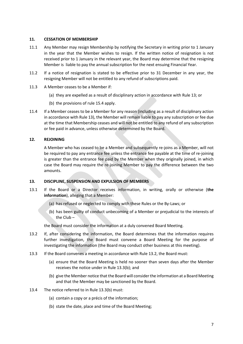#### <span id="page-8-0"></span>**11. CESSATION OF MEMBERSHIP**

- 11.1 Any Member may resign Membership by notifying the Secretary in writing prior to 1 January in the year that the Member wishes to resign. If the written notice of resignation is not received prior to 1 January in the relevant year, the Board may determine that the resigning Member is liable to pay the annual subscription for the next ensuing Financial Year.
- 11.2 If a notice of resignation is stated to be effective prior to 31 December in any year, the resigning Member will not be entitled to any refund of subscriptions paid.
- 11.3 A Member ceases to be a Member if:
	- (a) they are expelled as a result of disciplinary action in accordance with Rule [13;](#page-8-2) or
	- (b) the provisions of rul[e 15.4](#page-11-7) apply.
- 11.4 If a Member ceases to be a Member for any reason (including as a result of disciplinary action in accordance with Rule [13\)](#page-8-2), the Member will remain liable to pay any subscription or fee due at the time that Membership ceases and will not be entitled to any refund of any subscription or fee paid in advance, unless otherwise determined by the Board.

## <span id="page-8-1"></span>**12. REJOINING**

A Member who has ceased to be a Member and subsequently re-joins as a Member, will not be required to pay any entrance fee unless the entrance fee payable at the time of re-joining is greater than the entrance fee paid by the Member when they originally joined, in which case the Board may require the re-joining Member to pay the difference between the two amounts.

# <span id="page-8-2"></span>**13. DISCIPLINE, SUSPENSION AND EXPULSION OF MEMBERS**

- 13.1 If the Board or a Director receives information, in writing, orally or otherwise (**the information**), alleging that a Member:
	- (a) has refused or neglected to comply with these Rules or the By-Laws; or
	- (b) has been guilty of conduct unbecoming of a Member or prejudicial to the interests of the Club –

the Board must consider the information at a duly convened Board Meeting.

- 13.2 If, after considering the information, the Board determines that the information requires further investigation, the Board must convene a Board Meeting for the purpose of investigating the information (the Board may conduct other business at this meeting).
- 13.3 If the Board convenes a meeting in accordance with Rule 13.2, the Board must:
	- (a) ensure that the Board Meeting is held no sooner than seven days after the Member receives the notice under in Rule [13.3\(b\);](#page-8-3) and
	- (b) give the Member notice that the Board will consider the information at a Board Meeting and that the Member may be sanctioned by the Board.
- <span id="page-8-3"></span>13.4 The notice referred to in Rule [13.3\(b\)](#page-8-3) must:
	- (a) contain a copy or a précis of the information;
	- (b) state the date, place and time of the Board Meeting;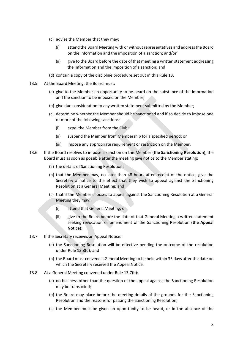- (c) advise the Member that they may:
	- (i) attend the Board Meeting with or without representatives and address the Board on the information and the imposition of a sanction; and/or
	- (ii) give to the Board before the date of that meeting a written statement addressing the information and the imposition of a sanction; and
- (d) contain a copy of the discipline procedure set out in this Rule [13.](#page-8-2)
- 13.5 At the Board Meeting, the Board must:
	- (a) give to the Member an opportunity to be heard on the substance of the information and the sanction to be imposed on the Member;
	- (b) give due consideration to any written statement submitted by the Member;
	- (c) determine whether the Member should be sanctioned and if so decide to impose one or more of the following sanctions:
		- (i) expel the Member from the Club;
		- (ii) suspend the Member from Membership for a specified period; or
		- (iii) impose any appropriate requirement or restriction on the Member.
- 13.6 If the Board resolves to impose a sanction on the Member (**the Sanctioning Resolution**), the Board must as soon as possible after the meeting give notice to the Member stating:
	- (a) the details of Sanctioning Resolution;
	- (b) that the Member may, no later than 48 hours after receipt of the notice, give the Secretary a notice to the effect that they wish to appeal against the Sanctioning Resolution at a General Meeting; and
	- (c) that if the Member chooses to appeal against the Sanctioning Resolution at a General Meeting they may:
		- (i) attend that General Meeting; or
		- (ii) give to the Board before the date of that General Meeting a written statement seeking revocation or amendment of the Sanctioning Resolution (**the Appeal Notice**):.
- 13.7 If the Secretary receives an Appeal Notice:
	- (a) the Sanctioning Resolution will be effective pending the outcome of the resolution under Rule [13.8\(d\);](#page-10-2) and
	- (b) the Board must convene a General Meeting to be held within 35 days after the date on which the Secretary received the Appeal Notice.
- <span id="page-9-0"></span>13.8 At a General Meeting convened under Rule [13.7\(b\):](#page-9-0)
	- (a) no business other than the question of the appeal against the Sanctioning Resolution may be transacted;
	- (b) the Board may place before the meeting details of the grounds for the Sanctioning Resolution and the reasons for passing the Sanctioning Resolution;
	- (c) the Member must be given an opportunity to be heard, or in the absence of the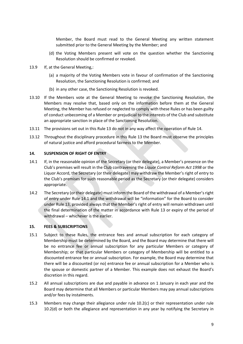Member, the Board must read to the General Meeting any written statement submitted prior to the General Meeting by the Member; and

- (d) the Voting Members present will vote on the question whether the Sanctioning Resolution should be confirmed or revoked.
- <span id="page-10-2"></span>13.9 If, at the General Meeting,:
	- (a) a majority of the Voting Members vote in favour of confirmation of the Sanctioning Resolution, the Sanctioning Resolution is confirmed; and
	- (b) in any other case, the Sanctioning Resolution is revoked.
- 13.10 If the Members vote at the General Meeting to revoke the Sanctioning Resolution, the Members may resolve that, based only on the information before them at the General Meeting, the Member has refused or neglected to comply with these Rules or has been guilty of conduct unbecoming of a Member or prejudicial to the interests of the Club and substitute an appropriate sanction in place of the Sanctioning Resolution.
- 13.11 The provisions set out in this Rule [13](#page-8-2) do not in any way affect the operation of Rule 14.
- 13.12 Throughout the disciplinary procedure in this Rule 13 the Board must observe the principles of natural justice and afford procedural fairness to the Member.

#### <span id="page-10-0"></span>**14. SUSPENSION OF RIGHT OF ENTRY**

- <span id="page-10-3"></span>14.1 If, in the reasonable opinion of the Secretary (or their delegate), a Member's presence on the Club's premises will result in the Club contravening the *Liquor Control Reform Act 1998* or the Liquor Accord, the Secretary (or their delegate) may withdraw the Member's right of entry to the Club's premises for such reasonable period as the Secretary (or their delegate) considers appropriate.
- 14.2 The Secretary (or their delegate) must inform the Board of the withdrawal of a Member's right of entry under Rule [14.1](#page-10-3) and the withdrawal will be "information" for the Board to consider under Rule [13,](#page-8-2) provided always that the Member's right of entry will remain withdrawn until the final determination of the matter in accordance with Rule [13](#page-8-2) or expiry of the period of withdrawal – whichever is the earlier.

#### <span id="page-10-1"></span>**15. FEES & SUBSCRIPTIONS**

- 15.1 Subject to these Rules, the entrance fees and annual subscription for each category of Membership must be determined by the Board, and the Board may determine that there will be no entrance fee or annual subscription for any particular Members or category of Membership; or that particular Members or category of Membership will be entitled to a discounted entrance fee or annual subscription. For example, the Board may determine that there will be a discounted (or no) entrance fee or annual subscription for a Member who is the spouse or domestic partner of a Member. This example does not exhaust the Board's discretion in this regard.
- 15.2 All annual subscriptions are due and payable in advance on 1 January in each year and the Board may determine that all Members or particular Members may pay annual subscriptions and/or fees by instalments.
- <span id="page-10-4"></span>15.3 Members may change their allegiance under rule [10.2\(c\)](#page-7-1) or their representation under rule [10.2\(d\)](#page-7-2) or both the allegiance and representation in any year by notifying the Secretary in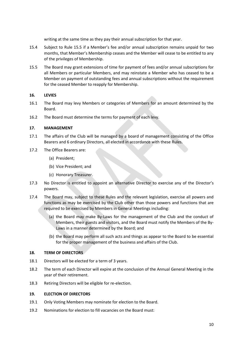writing at the same time as they pay their annual subscription for that year.

- <span id="page-11-7"></span>15.4 Subject to Rule [15.5](#page-11-8) if a Member's fee and/or annual subscription remains unpaid for two months, that Member's Membership ceases and the Member will cease to be entitled to any of the privileges of Membership.
- <span id="page-11-8"></span>15.5 The Board may grant extensions of time for payment of fees and/or annual subscriptions for all Members or particular Members, and may reinstate a Member who has ceased to be a Member on payment of outstanding fees and annual subscriptions without the requirement for the ceased Member to reapply for Membership.

## <span id="page-11-0"></span>**16. LEVIES**

- 16.1 The Board may levy Members or categories of Members for an amount determined by the Board.
- 16.2 The Board must determine the terms for payment of each levy.

## <span id="page-11-1"></span>**17. MANAGEMENT**

- <span id="page-11-4"></span>17.1 The affairs of the Club will be managed by a board of management consisting of the Office Bearers and 6 ordinary Directors, all elected in accordance with these Rules.
- <span id="page-11-6"></span>17.2 The Office Bearers are:
	- (a) President;
	- (b) Vice President; and
	- (c) Honorary Treasurer.
- 17.3 No Director is entitled to appoint an alternative Director to exercise any of the Director's powers.
- <span id="page-11-5"></span>17.4 The Board may, subject to these Rules and the relevant legislation, exercise all powers and functions as may be exercised by the Club other than those powers and functions that are required to be exercised by Members in General Meetings including:
	- (a) the Board may make By-Laws for the management of the Club and the conduct of Members, their guests and visitors, and the Board must notify the Members of the By-Laws in a manner determined by the Board; and
	- (b) the Board may perform all such acts and things as appear to the Board to be essential for the proper management of the business and affairs of the Club.

#### <span id="page-11-2"></span>**18. TERM OF DIRECTORS**

- 18.1 Directors will be elected for a term of 3 years.
- 18.2 The term of each Director will expire at the conclusion of the Annual General Meeting in the year of their retirement.
- 18.3 Retiring Directors will be eligible for re-election.

#### <span id="page-11-3"></span>**19. ELECTION OF DIRECTORS**

- 19.1 Only Voting Members may nominate for election to the Board.
- 19.2 Nominations for election to fill vacancies on the Board must: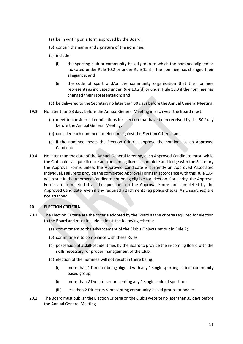- (a) be in writing on a form approved by the Board;
- (b) contain the name and signature of the nominee;
- <span id="page-12-1"></span>(c) include:
	- (i) the sporting club or community-based group to which the nominee aligned as indicated under Rule [10.2](#page-7-3) or under Rule [15.3](#page-10-4) if the nominee has changed their allegiance; and
	- (ii) the code of sport and/or the community organisation that the nominee represents as indicated under Rul[e 10.2\(d\)](#page-7-2) or under Rule [15.3](#page-10-4) if the nominee has changed their representation; and
- (d) be delivered to the Secretary no later than 30 days before the Annual General Meeting.
- 19.3 No later than 28 days before the Annual General Meeting in each year the Board must:
	- (a) meet to consider all nominations for election that have been received by the  $30<sup>th</sup>$  day before the Annual General Meeting;
	- (b) consider each nominee for election against the Election Criteria; and
	- (c) if the nominee meets the Election Criteria, approve the nominee as an Approved Candidate.
- 19.4 No later than the date of the Annual General Meeting, each Approved Candidate must, while the Club holds a liquor licence and/or gaming licence, complete and lodge with the Secretary the Approval Forms unless the Approved Candidate is currently an Approved Associated Individual. Failure to provide the completed Approval Forms in accordance with this Rule 19.4 will result in the Approved Candidate not being eligible for election. For clarity, the Approval Forms are completed if all the questions on the Approval Forms are completed by the Approved Candidate, even if any required attachments (eg police checks, ASIC searches) are not attached.

#### <span id="page-12-0"></span>**20. ELECTION CRITERIA**

- 20.1 The Election Criteria are the criteria adopted by the Board as the criteria required for election to the Board and must include at least the following criteria:
	- (a) commitment to the advancement of the Club's Objects set out in Rule [2;](#page-2-1)
	- (b) commitment to compliance with these Rules;
	- (c) possession of a skill-set identified by the Board to provide the in-coming Board with the skills necessary for proper management of the Club;
	- (d) election of the nominee will not result in there being:
		- (i) more than 1 Director being aligned with any 1 single sporting club or community based group;
		- (ii) more than 2 Directors representing any 1 single code of sport; or
		- (iii) less than 2 Directors representing community-based groups or bodies.
- <span id="page-12-2"></span>20.2 The Board must publish the Election Criteria on the Club's website no later than 35 days before the Annual General Meeting.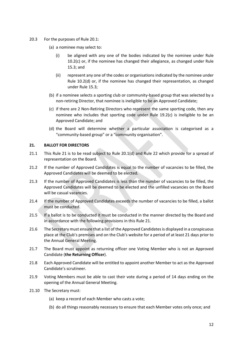- 20.3 For the purposes of Rule 20.1:
	- (a) a nominee may select to:
		- (i) be aligned with any one of the bodies indicated by the nominee under Rule [10.2\(c\)](#page-7-1) or, if the nominee has changed their allegiance, as changed under Rule [15.3;](#page-10-4) and
		- (ii) represent any one of the codes or organisations indicated by the nominee under Rule [10.2\(d\)](#page-7-2) or, if the nominee has changed their representation, as changed under Rule [15.3;](#page-10-4)
	- (b) if a nominee selects a sporting club or community-based group that was selected by a non-retiring Director, that nominee is ineligible to be an Approved Candidate;
	- (c) if there are 2 Non-Retiring Directors who represent the same sporting code, then any nominee who includes that sporting code under Rule [19.2\(c\)](#page-12-1) is ineligible to be an Approved Candidate; and
	- (d) the Board will determine whether a particular association is categorised as a "community-based group" or a "community organisation".

#### <span id="page-13-0"></span>**21. BALLOT FOR DIRECTORS**

- 21.1 This Rule [21](#page-13-0) is to be read subject to Rule [20.1\(d\)](#page-12-2) and Rule [22](#page-14-0) which provide for a spread of representation on the Board.
- 21.2 If the number of Approved Candidates is equal to the number of vacancies to be filled, the Approved Candidates will be deemed to be elected.
- 21.3 If the number of Approved Candidates is less than the number of vacancies to be filled, the Approved Candidates will be deemed to be elected and the unfilled vacancies on the Board will be casual vacancies.
- 21.4 If the number of Approved Candidates exceeds the number of vacancies to be filled, a ballot must be conducted.
- 21.5 If a ballot is to be conducted it must be conducted in the manner directed by the Board and in accordance with the following provisions in this Rule [21.](#page-13-0)
- 21.6 The Secretary must ensure that a list of the Approved Candidates is displayed in a conspicuous place at the Club's premises and on the Club's website for a period of at least 21 days prior to the Annual General Meeting.
- 21.7 The Board must appoint as returning officer one Voting Member who is not an Approved Candidate (**the Returning Officer**).
- 21.8 Each Approved Candidate will be entitled to appoint another Member to act as the Approved Candidate's scrutineer.
- 21.9 Voting Members must be able to cast their vote during a period of 14 days ending on the opening of the Annual General Meeting.
- 21.10 The Secretary must:
	- (a) keep a record of each Member who casts a vote;
	- (b) do all things reasonably necessary to ensure that each Member votes only once; and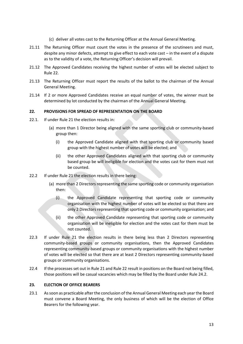- (c) deliver all votes cast to the Returning Officer at the Annual General Meeting.
- 21.11 The Returning Officer must count the votes in the presence of the scrutineers and must. despite any minor defects, attempt to give effect to each vote cast – in the event of a dispute as to the validity of a vote, the Returning Officer's decision will prevail.
- 21.12 The Approved Candidates receiving the highest number of votes will be elected subject to Rule [22.](#page-14-0)
- 21.13 The Returning Officer must report the results of the ballot to the chairman of the Annual General Meeting.
- 21.14 If 2 or more Approved Candidates receive an equal number of votes, the winner must be determined by lot conducted by the chairman of the Annual General Meeting.

## <span id="page-14-0"></span>**22. PROVISIONS FOR SPREAD OF REPRESENTATION ON THE BOARD**

- 22.1. If under Rule [21](#page-13-0) the election results in:
	- (a) more than 1 Director being aligned with the same sporting club or community-based group then:
		- (i) the Approved Candidate aligned with that sporting club or community based group with the highest number of votes will be elected; and
		- (ii) the other Approved Candidates aligned with that sporting club or community based group be will ineligible for election and the votes cast for them must not be counted.
- 22.2 If under Rule [21](#page-13-0) the election results in there being:
	- (a) more than 2 Directors representing the same sporting code or community organisation then:
		- (i) the Approved Candidate representing that sporting code or community organisation with the highest number of votes will be elected so that there are only 2 Directors representing that sporting code or community organisation; and
		- (ii) the other Approved Candidate representing that sporting code or community organisation will be ineligible for election and the votes cast for them must be not counted.
- 22.3 If under Rule [21](#page-13-0) the election results in there being less than 2 Directors representing community-based groups or community organisations, then the Approved Candidates representing community-based groups or community organisations with the highest number of votes will be elected so that there are at least 2 Directors representing community-based groups or community organisations.
- 22.4 If the processes set out in Rul[e 21](#page-13-0) and Rul[e 22](#page-14-0) result in positions on the Board not being filled, those positions will be casual vacancies which may be filled by the Board under Rule [24.2.](#page-16-1)

# <span id="page-14-1"></span>**23. ELECTION OF OFFICE BEARERS**

<span id="page-14-2"></span>23.1 As soon as practicable after the conclusion of the Annual General Meeting each year the Board must convene a Board Meeting, the only business of which will be the election of Office Bearers for the following year.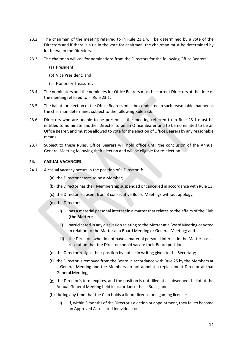- 23.2 The chairman of the meeting referred to in Rule [23.1](#page-14-2) will be determined by a vote of the Directors and if there is a tie in the vote for chairman, the chairman must be determined by lot between the Directors.
- 23.3 The chairman will call for nominations from the Directors for the following Office Bearers:
	- (a) President;
	- (b) Vice President; and
	- (c) Honorary Treasurer.
- 23.4 The nominators and the nominees for Office Bearers must be current Directors at the time of the meeting referred to in Rule [23.1.](#page-14-2)
- 23.5 The ballot for election of the Office Bearers must be conducted in such reasonable manner as the chairman determines subject to the following Rule [23.6.](#page-15-1)
- <span id="page-15-1"></span>23.6 Directors who are unable to be present at the meeting referred to in Rule [23.1](#page-14-2) must be entitled to nominate another Director to be an Office Bearer and to be nominated to be an Office Bearer, and must be allowed to vote for the election of Office Bearers by any reasonable means.
- 23.7 Subject to these Rules, Office Bearers will hold office until the conclusion of the Annual General Meeting following their election and will be eligible for re-election.

#### <span id="page-15-0"></span>**24. CASUAL VACANCIES**

- 24.1 A casual vacancy occurs in the position of a Director if:
	- (a) the Director ceases to be a Member;
	- (b) the Director has their Membership suspended or cancelled in accordance with Rul[e 13;](#page-8-2)
	- (c) the Director is absent from 3 consecutive Board Meetings without apology;
	- (d) the Director:
		- (i) has a material personal interest in a matter that relates to the affairs of the Club (**the Matter**);
		- (ii) participated in any discussion relating to the Matter at a Board Meeting or voted in relation to the Matter at a Board Meeting or General Meeting; and
		- (iii) the Directors who do not have a material personal interest in the Matter pass a resolution that the Director should vacate their Board position;
	- (e) the Director resigns their position by notice in writing given to the Secretary;
	- (f) the Director is removed from the Board in accordance with Rule [25](#page-16-0) by the Members at a General Meeting and the Members do not appoint a replacement Director at that General Meeting;
	- (g) the Director's term expires, and the position is not filled at a subsequent ballot at the Annual General Meeting held in accordance these Rules; and
	- (h) during any time that the Club holds a liquor licence or a gaming licence:
		- (i) if, within 3 months of the Director's election or appointment, they fail to become an Approved Associated Individual; or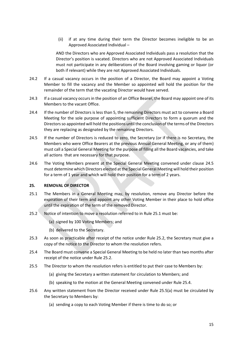(ii) if at any time during their term the Director becomes ineligible to be an Approved Associated Individual –

AND the Directors who are Approved Associated Individuals pass a resolution that the Director's position is vacated. Directors who are not Approved Associated Individuals must not participate in any deliberations of the Board involving gaming or liquor (or both if relevant) while they are not Approved Associated Individuals.

- <span id="page-16-1"></span>24.2 If a casual vacancy occurs in the position of a Director, the Board may appoint a Voting Member to fill the vacancy and the Member so appointed will hold the position for the remainder of the term that the vacating Director would have served.
- 24.3 If a casual vacancy occurs in the position of an Office Bearer, the Board may appoint one of its Members to the vacant Office.
- 24.4 If the number of Directors is less than 5, the remaining Directors must act to convene a Board Meeting for the sole purpose of appointing sufficient Directors to form a quorum and the Directors so appointed will hold the positions until the conclusion of the terms of the Directors they are replacing as designated by the remaining Directors.
- <span id="page-16-2"></span>24.5 If the number of Directors is reduced to zero, the Secretary (or if there is no Secretary, the Members who were Office Bearers at the previous Annual General Meeting, or any of them) must call a Special General Meeting for the purpose of filling all the Board vacancies, and take all actions that are necessary for that purpose.
- 24.6 The Voting Members present at the Special General Meeting convened under clause [24.5](#page-16-2) must determine which Directors elected at the Special General Meeting will hold their position for a term of 1 year and which will hold their position for a term of 2 years.

#### <span id="page-16-0"></span>**25. REMOVAL OF DIRECTOR**

- <span id="page-16-3"></span>25.1 The Members in a General Meeting may, by resolution, remove any Director before the expiration of their term and appoint any other Voting Member in their place to hold office until the expiration of the term of the removed Director.
- <span id="page-16-4"></span>25.2 Notice of intention to move a resolution referred to in Rule [25.1](#page-16-3) must be:
	- (a) signed by 100 Voting Members; and
	- (b) delivered to the Secretary.
- 25.3 As soon as practicable after receipt of the notice under Rule [25.2,](#page-16-4) the Secretary must give a copy of the notice to the Director to whom the resolution refers.
- <span id="page-16-5"></span>25.4 The Board must convene a Special General Meeting to be held no later than two months after receipt of the notice under Rule [25.2.](#page-16-4)
- <span id="page-16-6"></span>25.5 The Director to whom the resolution refers is entitled to put their case to Members by:
	- (a) giving the Secretary a written statement for circulation to Members; and
	- (b) speaking to the motion at the General Meeting convened under Rul[e 25.4.](#page-16-5)
- <span id="page-16-7"></span>25.6 Any written statement from the Director received under Rule [25.5\(a\)](#page-16-6) must be circulated by the Secretary to Members by:
	- (a) sending a copy to each Voting Member if there is time to do so; or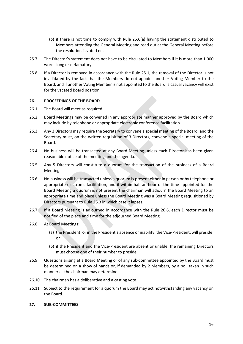- (b) if there is not time to comply with Rule 25.[6\(a\)](#page-16-7) having the statement distributed to Members attending the General Meeting and read out at the General Meeting before the resolution is voted on.
- 25.7 The Director's statement does not have to be circulated to Members if it is more than 1,000 words long or defamatory.
- 25.8 If a Director is removed in accordance with the Rule [25.1,](#page-16-3) the removal of the Director is not invalidated by the fact that the Members do not appoint another Voting Member to the Board, and if another Voting Member is not appointed to the Board, a casual vacancy will exist for the vacated Board position.

#### <span id="page-17-0"></span>**26. PROCEEDINGS OF THE BOARD**

- 26.1 The Board will meet as required.
- 26.2 Board Meetings may be convened in any appropriate manner approved by the Board which may include by telephone or appropriate electronic conference facilitation.
- <span id="page-17-2"></span>26.3 Any 3 Directors may require the Secretary to convene a special meeting of the Board, and the Secretary must, on the written requisition of 3 Directors, convene a special meeting of the Board.
- 26.4 No business will be transacted at any Board Meeting unless each Director has been given reasonable notice of the meeting and the agenda.
- 26.5 Any 5 Directors will constitute a quorum for the transaction of the business of a Board Meeting.
- <span id="page-17-3"></span>26.6 No business will be transacted unless a quorum is present either in person or by telephone or appropriate electronic facilitation, and if within half an hour of the time appointed for the Board Meeting a quorum is not present the chairman will adjourn the Board Meeting to an appropriate time and place unless the Board Meeting was a Board Meeting requisitioned by Directors pursuant to Rule [26.3](#page-17-2) in which case it lapses.
- 26.7 If a Board Meeting is adjourned in accordance with the Rule [26.6,](#page-17-3) each Director must be notified of the place and time for the adjourned Board Meeting.
- 26.8 At Board Meetings:
	- (a) the President, or in the President's absence or inability, the Vice-President, will preside; or
	- (b) if the President and the Vice-President are absent or unable, the remaining Directors must choose one of their number to preside.
- 26.9 Questions arising at a Board Meeting or of any sub-committee appointed by the Board must be determined on a show of hands or, if demanded by 2 Members, by a poll taken in such manner as the chairman may determine.
- 26.10 The chairman has a deliberative and a casting vote.
- 26.11 Subject to the requirement for a quorum the Board may act notwithstanding any vacancy on the Board.
- <span id="page-17-1"></span>**27. SUB-COMMITTEES**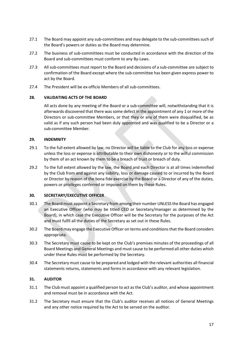- 27.1 The Board may appoint any sub-committees and may delegate to the sub-committees such of the Board's powers or duties as the Board may determine.
- 27.2 The business of sub-committees must be conducted in accordance with the direction of the Board and sub-committees must conform to any By-Laws.
- 27.3 All sub-committees must report to the Board and decisions of a sub-committee are subject to confirmation of the Board except where the sub-committee has been given express power to act by the Board.
- 27.4 The President will be ex-officio Members of all sub-committees.

## <span id="page-18-0"></span>**28. VALIDATING ACTS OF THE BOARD**

All acts done by any meeting of the Board or a sub-committee will, notwithstanding that it is afterwards discovered that there was some defect in the appointment of any 1 or more of the Directors or sub-committee Members, or that they or any of them were disqualified, be as valid as if any such person had been duly appointed and was qualified to be a Director or a sub-committee Member.

## <span id="page-18-1"></span>**29. INDEMNITY**

- 29.1 To the full extent allowed by law, no Director will be liable to the Club for any loss or expense unless the loss or expense is attributable to their own dishonesty or to the wilful commission by them of an act known by them to be a breach of trust or breach of duty.
- 29.2 To the full extent allowed by the law, the Board and each Director is at all times indemnified by the Club from and against any liability, loss or damage caused to or incurred by the Board or Director by reason of the bona fide exercise by the Board or a Director of any of the duties, powers or privileges conferred or imposed on them by these Rules.

# <span id="page-18-2"></span>**30. SECRETARY/EXECUTIVE OFFICER**

- 30.1 The Board must appoint a Secretary from among their number UNLESS the Board has engaged an Executive Officer (who may be titled CEO or Secretary/manager as determined by the Board), in which case the Executive Officer will be the Secretary for the purposes of the Act and must fulfil all the duties of the Secretary as set out in these Rules.
- 30.2 The Board may engage the Executive Officer on terms and conditions that the Board considers appropriate.
- 30.3 The Secretary must cause to be kept on the Club's premises minutes of the proceedings of all Board Meetings and General Meetings and must cause to be performed all other duties which under these Rules must be performed by the Secretary.
- 30.4 The Secretary must cause to be prepared and lodged with the relevant authorities all financial statements returns, statements and forms in accordance with any relevant legislation.

# <span id="page-18-3"></span>**31. AUDITOR**

- 31.1 The Club must appoint a qualified person to act as the Club's auditor, and whose appointment and removal must be in accordance with the Act.
- 31.2 The Secretary must ensure that the Club's auditor receives all notices of General Meetings and any other notice required by the Act to be served on the auditor.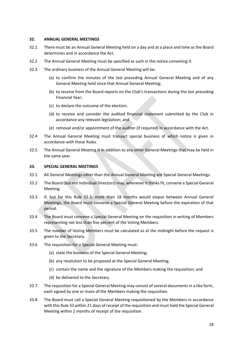#### <span id="page-19-0"></span>**32. ANNUAL GENERAL MEETINGS**

- 32.1 There must be an Annual General Meeting held on a day and at a place and time as the Board determines and in accordance the Act.
- 32.2 The Annual General Meeting must be specified as such in the notice convening it.
- 32.3 The ordinary business of the Annual General Meeting will be:
	- (a) to confirm the minutes of the last preceding Annual General Meeting and of any General Meeting held since that Annual General Meeting;
	- (b) to receive from the Board reports on the Club's transactions during the last preceding Financial Year;
	- (c) to declare the outcome of the election;
	- (d) to receive and consider the audited financial statement submitted by the Club in accordance any relevant legislation; and
	- (e) removal and/or appointment of the auditor (if required) in accordance with the Act.
- 32.4 The Annual General Meeting must transact special business of which notice is given in accordance with these Rules.
- 32.5 The Annual General Meeting is in addition to any other General Meetings that may be held in the same year.

#### <span id="page-19-1"></span>**33. SPECIAL GENERAL MEETINGS**

- 33.1 All General Meetings other than the Annual General Meeting are Special General Meetings.
- 33.2 The Board (but not individual Directors) may, whenever it thinks fit, convene a Special General Meeting.
- <span id="page-19-2"></span>33.3 If, but for this Rule [33.3,](#page-19-2) more than 18 months would elapse between Annual General Meetings, the Board must convene a Special General Meeting before the expiration of that period.
- 33.4 The Board must convene a Special General Meeting on the requisition in writing of Members representing not less than five percent of the Voting Members.
- 33.5 The number of Voting Members must be calculated as at the midnight before the request is given to the Secretary.
- 33.6 The requisition for a Special General Meeting must:
	- (a) state the business of the Special General Meeting;
	- (b) any resolution to be proposed at the Special General Meeting;
	- (c) contain the name and the signature of the Members making the requisition; and
	- (d) be delivered to the Secretary.
- 33.7 The requisition for a Special General Meeting may consist of several documents in a like form, each signed by one or more of the Members making the requisition.
- 33.8 The Board must call a Special General Meeting requisitioned by the Members in accordance with this Rule [33](#page-19-1) within 21 days of receipt of the requisition and must hold the Special General Meeting within 2 months of receipt of the requisition.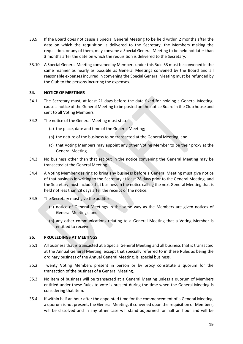- 33.9 If the Board does not cause a Special General Meeting to be held within 2 months after the date on which the requisition is delivered to the Secretary, the Members making the requisition, or any of them, may convene a Special General Meeting to be held not later than 3 months after the date on which the requisition is delivered to the Secretary.
- 33.10 A Special General Meeting convened by Members under this Rule [33](#page-19-1) must be convened in the same manner as nearly as possible as General Meetings convened by the Board and all reasonable expenses incurred in convening the Special General Meeting must be refunded by the Club to the persons incurring the expenses.

## <span id="page-20-0"></span>**34. NOTICE OF MEETINGS**

- 34.1 The Secretary must, at least 21 days before the date fixed for holding a General Meeting, cause a notice of the General Meeting to be posted on the notice Board in the Club house and sent to all Voting Members.
- 34.2 The notice of the General Meeting must state:
	- (a) the place, date and time of the General Meeting;
	- (b) the nature of the business to be transacted at the General Meeting; and
	- (c) that Voting Members may appoint any other Voting Member to be their proxy at the General Meeting.
- 34.3 No business other than that set out in the notice convening the General Meeting may be transacted at the General Meeting.
- 34.4 A Voting Member desiring to bring any business before a General Meeting must give notice of that business in writing to the Secretary at least 28 days prior to the General Meeting, and the Secretary must include that business in the notice calling the next General Meeting that is held not less than 28 days after the receipt of the notice.
- 34.5 The Secretary must give the auditor:
	- (a) notice of General Meetings in the same way as the Members are given notices of General Meetings; and
	- (b) any other communications relating to a General Meeting that a Voting Member is entitled to receive.

# <span id="page-20-1"></span>**35. PROCEEDINGS AT MEETINGS**

- 35.1 All business that is transacted at a Special General Meeting and all business that is transacted at the Annual General Meeting, except that specially referred to in these Rules as being the ordinary business of the Annual General Meeting, is special business.
- 35.2 Twenty Voting Members present in person or by proxy constitute a quorum for the transaction of the business of a General Meeting.
- 35.3 No item of business will be transacted at a General Meeting unless a quorum of Members entitled under these Rules to vote is present during the time when the General Meeting is considering that item.
- 35.4 If within half an hour after the appointed time for the commencement of a General Meeting, a quorum is not present, the General Meeting, if convened upon the requisition of Members, will be dissolved and in any other case will stand adjourned for half an hour and will be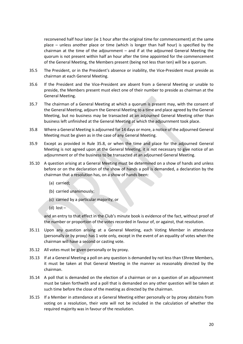reconvened half hour later (ie 1 hour after the original time for commencement) at the same place – unless another place or time (which is longer than half hour) is specified by the chairman at the time of the adjournment – and if at the adjourned General Meeting the quorum is not present within half an hour after the time appointed for the commencement of the General Meeting, the Members present (being not less than ten) will be a quorum.

- 35.5 The President, or in the President's absence or inability, the Vice-President must preside as chairman at each General Meeting.
- 35.6 If the President and the Vice-President are absent from a General Meeting or unable to preside, the Members present must elect one of their number to preside as chairman at the General Meeting.
- 35.7 The chairman of a General Meeting at which a quorum is present may, with the consent of the General Meeting, adjourn the General Meeting to a time and place agreed by the General Meeting, but no business may be transacted at an adjourned General Meeting other than business left unfinished at the General Meeting at which the adjournment took place.
- <span id="page-21-0"></span>35.8 Where a General Meeting is adjourned for 14 days or more, a notice of the adjourned General Meeting must be given as in the case of any General Meeting.
- 35.9 Except as provided in Rule [35.8,](#page-21-0) or when the time and place for the adjourned General Meeting is not agreed upon at the General Meeting, it is not necessary to give notice of an adjournment or of the business to be transacted at an adjourned General Meeting.
- 35.10 A question arising at a General Meeting must be determined on a show of hands and unless before or on the declaration of the show of hands a poll is demanded, a declaration by the chairman that a resolution has, on a show of hands been:
	- (a) carried;
	- (b) carried unanimously;
	- (c) carried by a particular majority; or
	- $(d)$  lost –

and an entry to that effect in the Club's minute book is evidence of the fact, without proof of the number or proportion of the votes recorded in favour of, or against, that resolution.

- 35.11 Upon any question arising at a General Meeting, each Voting Member in attendance (personally or by proxy) has 1 vote only, except in the event of an equality of votes when the chairman will have a second or casting vote.
- 35.12 All votes must be given personally or by proxy.
- 35.13 If at a General Meeting a poll on any question is demanded by not less than t3hree Members, it must be taken at that General Meeting in the manner as reasonably directed by the chairman.
- 35.14 A poll that is demanded on the election of a chairman or on a question of an adjournment must be taken forthwith and a poll that is demanded on any other question will be taken at such time before the close of the meeting as directed by the chairman.
- 35.15 If a Member in attendance at a General Meeting either personally or by proxy abstains from voting on a resolution, their vote will not be included in the calculation of whether the required majority was in favour of the resolution.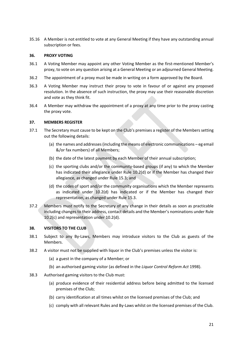35.16 A Member is not entitled to vote at any General Meeting if they have any outstanding annual subscription or fees.

#### <span id="page-22-0"></span>**36. PROXY VOTING**

- 36.1 A Voting Member may appoint any other Voting Member as the first-mentioned Member's proxy, to vote on any question arising at a General Meeting or an adjourned General Meeting.
- 36.2 The appointment of a proxy must be made in writing on a form approved by the Board.
- 36.3 A Voting Member may instruct their proxy to vote in favour of or against any proposed resolution. In the absence of such instruction, the proxy may use their reasonable discretion and vote as they think fit.
- 36.4 A Member may withdraw the appointment of a proxy at any time prior to the proxy casting the proxy vote.

#### <span id="page-22-1"></span>**37. MEMBERS REGISTER**

- 37.1 The Secretary must cause to be kept on the Club's premises a register of the Members setting out the following details:
	- (a) the names and addresses (including the means of electronic communications eg email &/or fax numbers) of all Members;
	- (b) the date of the latest payment by each Member of their annual subscription;
	- (c) the sporting clubs and/or the community-based groups (if any) to which the Member has indicated their allegiance under Rule [10.2\(d\)](#page-7-2) or if the Member has changed their allegiance, as changed under Rule [15.3;](#page-10-4) and
	- (d) the codes of sport and/or the community organisations which the Member represents as indicated under [10.2\(d\)](#page-7-2) has indicated or if the Member has changed their representation, as changed under Rule [15.3.](#page-10-4)
- 37.2 Members must notify to the Secretary of any change in their details as soon as practicable including changes to their address, contact details and the Member's nominations under Rule [10.2\(c\)](#page-7-1) and representation under [10.2\(d\).](#page-7-2)

#### <span id="page-22-2"></span>**38. VISITORS TO THE CLUB**

- 38.1 Subject to any By-Laws, Members may introduce visitors to the Club as guests of the Members.
- 38.2 A visitor must not be supplied with liquor in the Club's premises unless the visitor is:
	- (a) a guest in the company of a Member; or
	- (b) an authorised gaming visitor (as defined in the *Liquor Control Reform Act* 1998).
- 38.3 Authorised gaming visitors to the Club must:
	- (a) produce evidence of their residential address before being admitted to the licensed premises of the Club;
	- (b) carry identification at all times whilst on the licensed premises of the Club; and
	- (c) comply with all relevant Rules and By-Laws whilst on the licensed premises of the Club.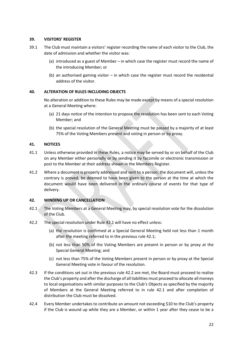#### <span id="page-23-0"></span>**39. VISITORS' REGISTER**

- 39.1 The Club must maintain a visitors' register recording the name of each visitor to the Club, the date of admission and whether the visitor was:
	- (a) introduced as a guest of Member in which case the register must record the name of the introducing Member; or
	- (b) an authorised gaming visitor in which case the register must record the residential address of the visitor.

# <span id="page-23-1"></span>**40. ALTERATION OF RULES INCLUDING OBJECTS**

No alteration or addition to these Rules may be made except by means of a special resolution at a General Meeting where:

- (a) 21 days notice of the intention to propose the resolution has been sent to each Voting Member; and
- (b) the special resolution of the General Meeting must be passed by a majority of at least 75% of the Voting Members present and voting in person or by proxy.

## <span id="page-23-2"></span>**41. NOTICES**

- 41.1 Unless otherwise provided in these Rules, a notice may be served by or on behalf of the Club on any Member either personally or by sending it by facsimile or electronic transmission or post to the Member at their address shown in the Members Register.
- 41.2 Where a document is properly addressed and sent to a person, the document will, unless the contrary is proved, be deemed to have been given to the person at the time at which the document would have been delivered in the ordinary course of events for that type of delivery.

# <span id="page-23-3"></span>**42. WINDING UP OR CANCELLATION**

- <span id="page-23-5"></span>42.1 The Voting Members at a General Meeting may, by special resolution vote for the dissolution of the Club.
- <span id="page-23-6"></span>42.2 The special resolution under Rul[e 42.1](#page-23-5) will have no effect unless:
	- (a) the resolution is confirmed at a Special General Meeting held not less than 1 month after the meeting referred to in the previous rule [42.1;](#page-23-5)
	- (b) not less than 50% of the Voting Members are present in person or by proxy at the Special General Meeting; and
	- (c) not less than 75% of the Voting Members present in person or by proxy at the Special General Meeting vote in favour of the resolution.
- 42.3 If the conditions set out in the previous rule [42.2](#page-23-6) are met, the Board must proceed to realise the Club's property and after the discharge of all liabilities must proceed to allocate all moneys to local organisations with similar purposes to the Club's Objects as specified by the majority of Members at the General Meeting referred to in rule [42.1](#page-23-5) and after completion of distribution the Club must be dissolved.
- <span id="page-23-4"></span>42.4 Every Member undertakes to contribute an amount not exceeding \$10 to the Club's property if the Club is wound up while they are a Member, or within 1 year after they cease to be a